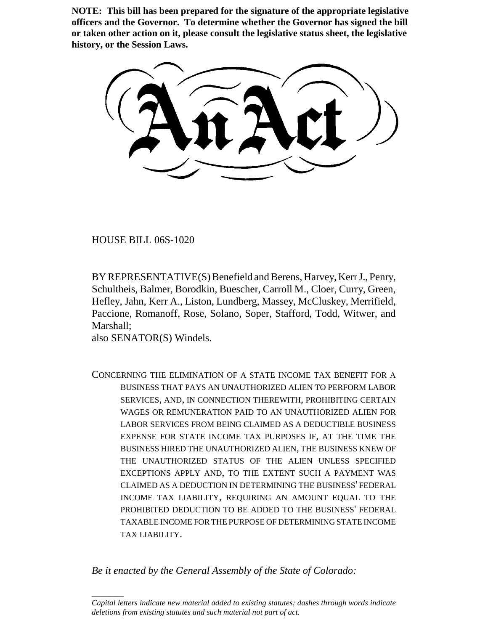**NOTE: This bill has been prepared for the signature of the appropriate legislative officers and the Governor. To determine whether the Governor has signed the bill or taken other action on it, please consult the legislative status sheet, the legislative history, or the Session Laws.**

HOUSE BILL 06S-1020

BY REPRESENTATIVE(S) Benefield and Berens, Harvey, Kerr J., Penry, Schultheis, Balmer, Borodkin, Buescher, Carroll M., Cloer, Curry, Green, Hefley, Jahn, Kerr A., Liston, Lundberg, Massey, McCluskey, Merrifield, Paccione, Romanoff, Rose, Solano, Soper, Stafford, Todd, Witwer, and Marshall;

also SENATOR(S) Windels.

 $\overline{\phantom{a}}$ 

CONCERNING THE ELIMINATION OF A STATE INCOME TAX BENEFIT FOR A BUSINESS THAT PAYS AN UNAUTHORIZED ALIEN TO PERFORM LABOR SERVICES, AND, IN CONNECTION THEREWITH, PROHIBITING CERTAIN WAGES OR REMUNERATION PAID TO AN UNAUTHORIZED ALIEN FOR LABOR SERVICES FROM BEING CLAIMED AS A DEDUCTIBLE BUSINESS EXPENSE FOR STATE INCOME TAX PURPOSES IF, AT THE TIME THE BUSINESS HIRED THE UNAUTHORIZED ALIEN, THE BUSINESS KNEW OF THE UNAUTHORIZED STATUS OF THE ALIEN UNLESS SPECIFIED EXCEPTIONS APPLY AND, TO THE EXTENT SUCH A PAYMENT WAS CLAIMED AS A DEDUCTION IN DETERMINING THE BUSINESS' FEDERAL INCOME TAX LIABILITY, REQUIRING AN AMOUNT EQUAL TO THE PROHIBITED DEDUCTION TO BE ADDED TO THE BUSINESS' FEDERAL TAXABLE INCOME FOR THE PURPOSE OF DETERMINING STATE INCOME TAX LIABILITY.

*Be it enacted by the General Assembly of the State of Colorado:*

*Capital letters indicate new material added to existing statutes; dashes through words indicate deletions from existing statutes and such material not part of act.*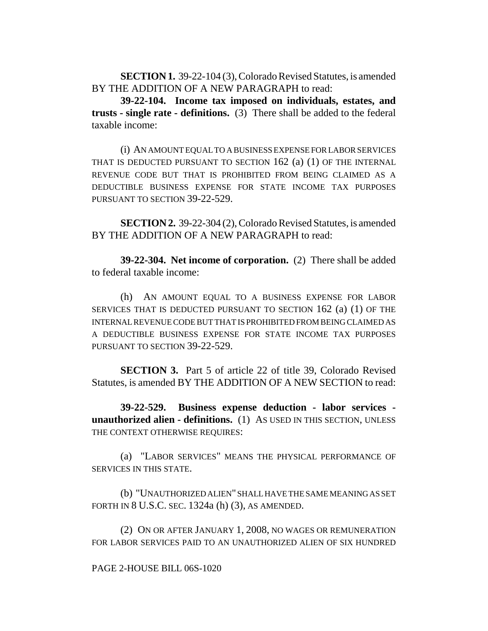**SECTION 1.** 39-22-104 (3), Colorado Revised Statutes, is amended BY THE ADDITION OF A NEW PARAGRAPH to read:

**39-22-104. Income tax imposed on individuals, estates, and trusts - single rate - definitions.** (3) There shall be added to the federal taxable income:

(i) AN AMOUNT EQUAL TO A BUSINESS EXPENSE FOR LABOR SERVICES THAT IS DEDUCTED PURSUANT TO SECTION 162 (a) (1) OF THE INTERNAL REVENUE CODE BUT THAT IS PROHIBITED FROM BEING CLAIMED AS A DEDUCTIBLE BUSINESS EXPENSE FOR STATE INCOME TAX PURPOSES PURSUANT TO SECTION 39-22-529.

**SECTION 2.** 39-22-304 (2), Colorado Revised Statutes, is amended BY THE ADDITION OF A NEW PARAGRAPH to read:

**39-22-304. Net income of corporation.** (2) There shall be added to federal taxable income:

(h) AN AMOUNT EQUAL TO A BUSINESS EXPENSE FOR LABOR SERVICES THAT IS DEDUCTED PURSUANT TO SECTION 162 (a) (1) OF THE INTERNAL REVENUE CODE BUT THAT IS PROHIBITED FROM BEING CLAIMED AS A DEDUCTIBLE BUSINESS EXPENSE FOR STATE INCOME TAX PURPOSES PURSUANT TO SECTION 39-22-529.

**SECTION 3.** Part 5 of article 22 of title 39, Colorado Revised Statutes, is amended BY THE ADDITION OF A NEW SECTION to read:

**39-22-529. Business expense deduction - labor services unauthorized alien - definitions.** (1) AS USED IN THIS SECTION, UNLESS THE CONTEXT OTHERWISE REQUIRES:

(a) "LABOR SERVICES" MEANS THE PHYSICAL PERFORMANCE OF SERVICES IN THIS STATE.

(b) "UNAUTHORIZED ALIEN" SHALL HAVE THE SAME MEANING AS SET FORTH IN 8 U.S.C. SEC. 1324a (h) (3), AS AMENDED.

(2) ON OR AFTER JANUARY 1, 2008, NO WAGES OR REMUNERATION FOR LABOR SERVICES PAID TO AN UNAUTHORIZED ALIEN OF SIX HUNDRED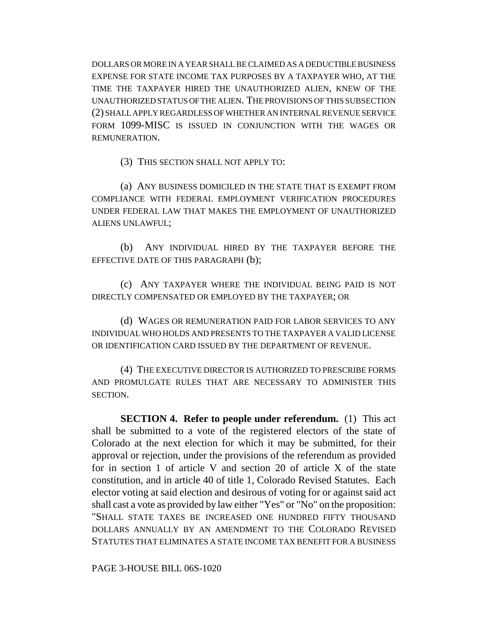DOLLARS OR MORE IN A YEAR SHALL BE CLAIMED AS A DEDUCTIBLE BUSINESS EXPENSE FOR STATE INCOME TAX PURPOSES BY A TAXPAYER WHO, AT THE TIME THE TAXPAYER HIRED THE UNAUTHORIZED ALIEN, KNEW OF THE UNAUTHORIZED STATUS OF THE ALIEN. THE PROVISIONS OF THIS SUBSECTION (2) SHALL APPLY REGARDLESS OF WHETHER AN INTERNAL REVENUE SERVICE FORM 1099-MISC IS ISSUED IN CONJUNCTION WITH THE WAGES OR REMUNERATION.

(3) THIS SECTION SHALL NOT APPLY TO:

(a) ANY BUSINESS DOMICILED IN THE STATE THAT IS EXEMPT FROM COMPLIANCE WITH FEDERAL EMPLOYMENT VERIFICATION PROCEDURES UNDER FEDERAL LAW THAT MAKES THE EMPLOYMENT OF UNAUTHORIZED ALIENS UNLAWFUL;

(b) ANY INDIVIDUAL HIRED BY THE TAXPAYER BEFORE THE EFFECTIVE DATE OF THIS PARAGRAPH (b);

(c) ANY TAXPAYER WHERE THE INDIVIDUAL BEING PAID IS NOT DIRECTLY COMPENSATED OR EMPLOYED BY THE TAXPAYER; OR

(d) WAGES OR REMUNERATION PAID FOR LABOR SERVICES TO ANY INDIVIDUAL WHO HOLDS AND PRESENTS TO THE TAXPAYER A VALID LICENSE OR IDENTIFICATION CARD ISSUED BY THE DEPARTMENT OF REVENUE.

(4) THE EXECUTIVE DIRECTOR IS AUTHORIZED TO PRESCRIBE FORMS AND PROMULGATE RULES THAT ARE NECESSARY TO ADMINISTER THIS SECTION.

**SECTION 4. Refer to people under referendum.** (1) This act shall be submitted to a vote of the registered electors of the state of Colorado at the next election for which it may be submitted, for their approval or rejection, under the provisions of the referendum as provided for in section 1 of article V and section 20 of article X of the state constitution, and in article 40 of title 1, Colorado Revised Statutes. Each elector voting at said election and desirous of voting for or against said act shall cast a vote as provided by law either "Yes" or "No" on the proposition: "SHALL STATE TAXES BE INCREASED ONE HUNDRED FIFTY THOUSAND DOLLARS ANNUALLY BY AN AMENDMENT TO THE COLORADO REVISED STATUTES THAT ELIMINATES A STATE INCOME TAX BENEFIT FOR A BUSINESS

PAGE 3-HOUSE BILL 06S-1020